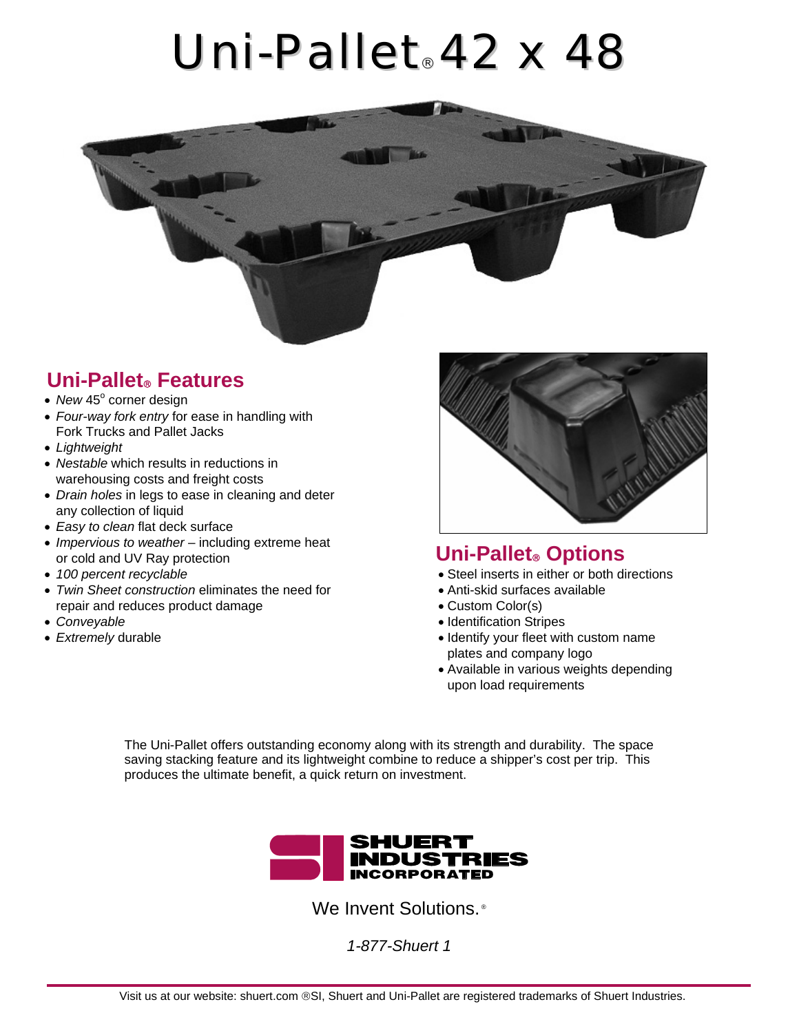## *Uni-Pallet*® *42 x 48*



## **Uni-Pallet**® **Features**

- New 45° corner design
- *Four-way fork entry* for ease in handling with Fork Trucks and Pallet Jacks
- *Lightweight*
- *Nestable* which results in reductions in warehousing costs and freight costs
- *Drain holes* in legs to ease in cleaning and deter any collection of liquid
- *Easy to clean* flat deck surface
- *Impervious to weather* including extreme heat or cold and UV Ray protection **Uni-Pallet**® **Options**
- 
- *Twin Sheet construction* eliminates the need for repair and reduces product damage
- 
- 



- *100 percent recyclable*  Steel inserts in either or both directions
	- Anti-skid surfaces available
	- Custom Color(s)
- *Conveyable* Identification Stripes
- *Extremely* durable  **Intervention of the set of the set of the set of the set of the set of the set of the set of the set of the set of the set of the set of the set of the set of the set of the set of the set of the s** plates and company logo
	- Available in various weights depending upon load requirements

The Uni-Pallet offers outstanding economy along with its strength and durability. The space saving stacking feature and its lightweight combine to reduce a shipper's cost per trip. This produces the ultimate benefit, a quick return on investment.



We Invent Solutions.<sup>®</sup>

*1-877-Shuert 1*